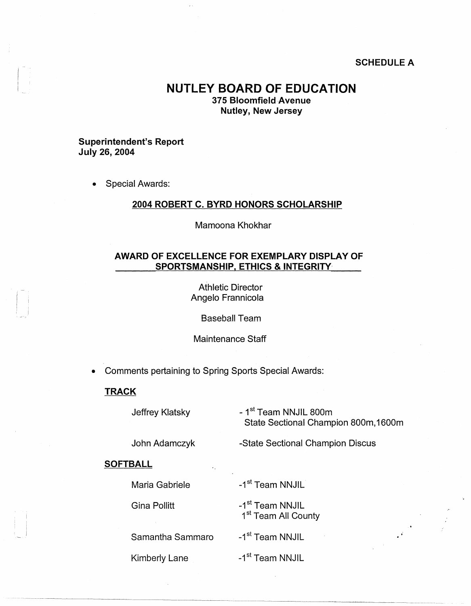## **SCHEDULE A**

# **NUTLEY BOARD OF EDUCATION**

**375 Bloomfield Avenue Nutley, New Jersey** 

#### **Superintendent's Report July 26, 2004**

• Special Awards:

#### **2004 ROBERT C. BYRD HONORS SCHOLARSHIP**

Mamoona Khokhar

## **AWARD OF EXCELLENCE FOR EXEMPLARY DISPLAY OF SPORTSMANSHIP, ETHICS** & **INTEGRITY**

Athletic Director Angelo Frannicola

Baseball Team

Maintenance Staff

• Comments pertaining to Spring Sports Special Awards:

#### **TRACK**

Jeffrey Klatsky

- **1st** Team **NNJIL** 800m State Sectional Champion 800m, 1600m

 $\frac{\partial}{\partial t} \frac{\partial}{\partial t} \frac{\partial}{\partial x} = - \frac{1}{2} \frac{\partial}{\partial x} \frac{\partial}{\partial x} \frac{\partial}{\partial x}$ 

John Adamczyk

-State Sectional Champion Discus

#### **SOFTBALL**

Maria Gabriele

Kimberly Lane

Gina Pollitt

-1<sup>st</sup> Team NNJIL 1<sup>st</sup> Team All County

-1<sup>st</sup> Team NNJIL

-1<sup>st</sup> Team NNJIL

Samantha Sammaro

-1<sup>st</sup> Team NNJIL